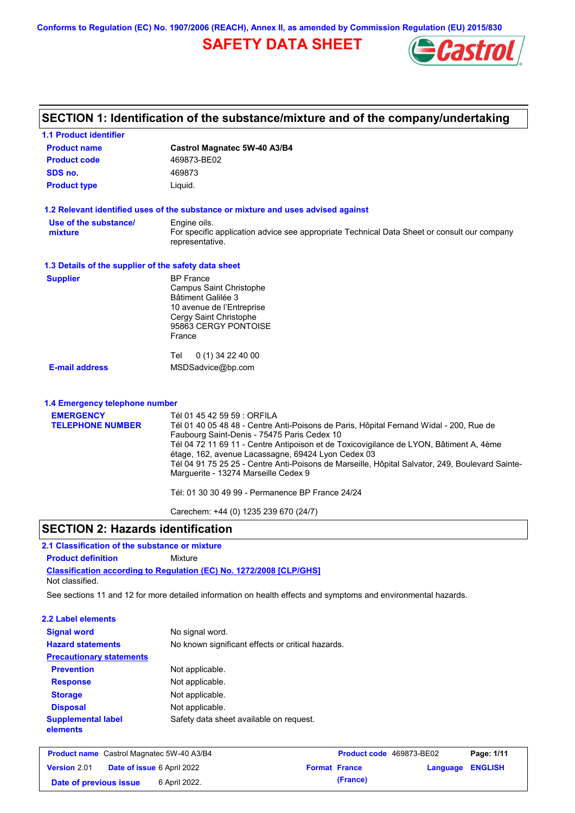**Conforms to Regulation (EC) No. 1907/2006 (REACH), Annex II, as amended by Commission Regulation (EU) 2015/830**

# **SAFETY DATA SHEET**



| <b>1.1 Product identifier</b>                        |                                                                                                                                                                                                                                                                                                                                                                                                                                                                                                                     |
|------------------------------------------------------|---------------------------------------------------------------------------------------------------------------------------------------------------------------------------------------------------------------------------------------------------------------------------------------------------------------------------------------------------------------------------------------------------------------------------------------------------------------------------------------------------------------------|
| <b>Product name</b>                                  | Castrol Magnatec 5W-40 A3/B4                                                                                                                                                                                                                                                                                                                                                                                                                                                                                        |
| <b>Product code</b>                                  | 469873-BE02                                                                                                                                                                                                                                                                                                                                                                                                                                                                                                         |
| SDS no.                                              | 469873                                                                                                                                                                                                                                                                                                                                                                                                                                                                                                              |
| <b>Product type</b>                                  | Liquid.                                                                                                                                                                                                                                                                                                                                                                                                                                                                                                             |
|                                                      | 1.2 Relevant identified uses of the substance or mixture and uses advised against                                                                                                                                                                                                                                                                                                                                                                                                                                   |
| Use of the substance/<br>mixture                     | Engine oils.<br>For specific application advice see appropriate Technical Data Sheet or consult our company<br>representative.                                                                                                                                                                                                                                                                                                                                                                                      |
| 1.3 Details of the supplier of the safety data sheet |                                                                                                                                                                                                                                                                                                                                                                                                                                                                                                                     |
| <b>Supplier</b>                                      | <b>BP</b> France<br>Campus Saint Christophe<br>Bâtiment Galilée 3<br>10 avenue de l'Entreprise<br>Cergy Saint Christophe<br>95863 CERGY PONTOISE<br>France                                                                                                                                                                                                                                                                                                                                                          |
| <b>E-mail address</b>                                | $0(1)$ 34 22 40 00<br>Tel<br>MSDSadvice@bp.com                                                                                                                                                                                                                                                                                                                                                                                                                                                                      |
| 1.4 Emergency telephone number                       |                                                                                                                                                                                                                                                                                                                                                                                                                                                                                                                     |
| <b>EMERGENCY</b><br><b>TELEPHONE NUMBER</b>          | Tél 01 45 42 59 59 : ORFILA<br>Tél 01 40 05 48 48 - Centre Anti-Poisons de Paris, Hôpital Fernand Widal - 200, Rue de<br>Faubourg Saint-Denis - 75475 Paris Cedex 10<br>Tél 04 72 11 69 11 - Centre Antipoison et de Toxicovigilance de LYON, Bâtiment A, 4ème<br>étage, 162, avenue Lacassagne, 69424 Lyon Cedex 03<br>Tél 04 91 75 25 25 - Centre Anti-Poisons de Marseille, Hôpital Salvator, 249, Boulevard Sainte-<br>Marguerite - 13274 Marseille Cedex 9<br>Tél: 01 30 30 49 99 - Permanence BP France 24/24 |
|                                                      | Carechem: +44 (0) 1235 239 670 (24/7)                                                                                                                                                                                                                                                                                                                                                                                                                                                                               |

## **SECTION 2: Hazards identification**

# **2.1 Classification of the substance or mixture**

**Product definition** Mixture

**Classification according to Regulation (EC) No. 1272/2008 [CLP/GHS]** Not classified.

See sections 11 and 12 for more detailed information on health effects and symptoms and environmental hazards.

### **2.2 Label elements**

| <b>Signal word</b><br><b>Hazard statements</b> | No signal word.<br>No known significant effects or critical hazards. |
|------------------------------------------------|----------------------------------------------------------------------|
| <b>Precautionary statements</b>                |                                                                      |
| <b>Prevention</b>                              | Not applicable.                                                      |
| <b>Response</b>                                | Not applicable.                                                      |
| <b>Storage</b>                                 | Not applicable.                                                      |
| <b>Disposal</b>                                | Not applicable.                                                      |
| <b>Supplemental label</b><br>elements          | Safety data sheet available on request.                              |

|                        | <b>Product name</b> Castrol Magnatec 5W-40 A3/B4 |                      | <b>Product code</b> 469873-BE02 |                         | Page: 1/11 |
|------------------------|--------------------------------------------------|----------------------|---------------------------------|-------------------------|------------|
| <b>Version 2.01</b>    | <b>Date of issue 6 April 2022</b>                | <b>Format France</b> |                                 | <b>Language ENGLISH</b> |            |
| Date of previous issue | 6 April 2022.                                    |                      | (France)                        |                         |            |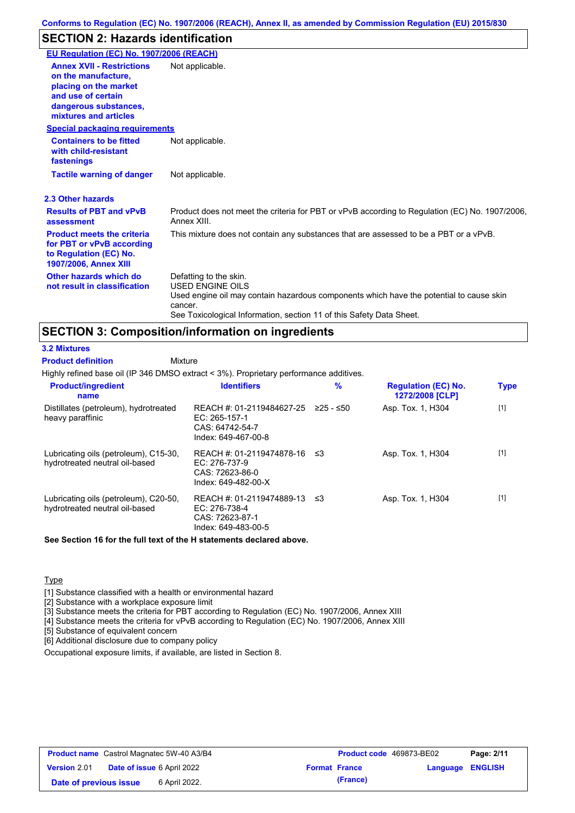# **SECTION 2: Hazards identification**

| EU Regulation (EC) No. 1907/2006 (REACH)                                                                                                                 |                                                                                                                                                                                                                                 |
|----------------------------------------------------------------------------------------------------------------------------------------------------------|---------------------------------------------------------------------------------------------------------------------------------------------------------------------------------------------------------------------------------|
| <b>Annex XVII - Restrictions</b><br>on the manufacture,<br>placing on the market<br>and use of certain<br>dangerous substances,<br>mixtures and articles | Not applicable.                                                                                                                                                                                                                 |
| <b>Special packaging requirements</b>                                                                                                                    |                                                                                                                                                                                                                                 |
| <b>Containers to be fitted</b><br>with child-resistant<br>fastenings                                                                                     | Not applicable.                                                                                                                                                                                                                 |
| <b>Tactile warning of danger</b>                                                                                                                         | Not applicable.                                                                                                                                                                                                                 |
| 2.3 Other hazards                                                                                                                                        |                                                                                                                                                                                                                                 |
| <b>Results of PBT and vPvB</b><br>assessment                                                                                                             | Product does not meet the criteria for PBT or vPvB according to Regulation (EC) No. 1907/2006,<br>Annex XIII.                                                                                                                   |
| <b>Product meets the criteria</b><br>for PBT or vPvB according<br>to Regulation (EC) No.<br><b>1907/2006, Annex XIII</b>                                 | This mixture does not contain any substances that are assessed to be a PBT or a vPvB.                                                                                                                                           |
| Other hazards which do<br>not result in classification                                                                                                   | Defatting to the skin.<br><b>USED ENGINE OILS</b><br>Used engine oil may contain hazardous components which have the potential to cause skin<br>cancer.<br>See Toxicological Information, section 11 of this Safety Data Sheet. |

# **SECTION 3: Composition/information on ingredients**

**Mixture** 

**3.2 Mixtures**

**Product definition**

Highly refined base oil (IP 346 DMSO extract < 3%). Proprietary performance additives.

| <b>Product/ingredient</b><br>name                                       | <b>Identifiers</b>                                                                      | $\frac{9}{6}$ | <b>Regulation (EC) No.</b><br>1272/2008 [CLP] | <b>Type</b> |
|-------------------------------------------------------------------------|-----------------------------------------------------------------------------------------|---------------|-----------------------------------------------|-------------|
| Distillates (petroleum), hydrotreated<br>heavy paraffinic               | REACH #: 01-2119484627-25<br>EC: 265-157-1<br>CAS: 64742-54-7<br>Index: 649-467-00-8    | $≥25 - ≤50$   | Asp. Tox. 1, H304                             | $[1]$       |
| Lubricating oils (petroleum), C15-30,<br>hydrotreated neutral oil-based | REACH #: 01-2119474878-16<br>$EC: 276-737-9$<br>CAS: 72623-86-0<br>Index: 649-482-00-X  | -≤3           | Asp. Tox. 1, H304                             | $[1]$       |
| Lubricating oils (petroleum), C20-50,<br>hydrotreated neutral oil-based | REACH #: 01-2119474889-13 ≤3<br>EC: 276-738-4<br>CAS: 72623-87-1<br>Index: 649-483-00-5 |               | Asp. Tox. 1, H304                             | $[1]$       |

**See Section 16 for the full text of the H statements declared above.**

**Type** 

[1] Substance classified with a health or environmental hazard

[2] Substance with a workplace exposure limit

[3] Substance meets the criteria for PBT according to Regulation (EC) No. 1907/2006, Annex XIII

[4] Substance meets the criteria for vPvB according to Regulation (EC) No. 1907/2006, Annex XIII

[5] Substance of equivalent concern

[6] Additional disclosure due to company policy

Occupational exposure limits, if available, are listed in Section 8.

| <b>Product name</b> Castrol Magnatec 5W-40 A3/B4 |  | Product code 469873-BE02          |  | Page: 2/11           |                         |  |
|--------------------------------------------------|--|-----------------------------------|--|----------------------|-------------------------|--|
| <b>Version 2.01</b>                              |  | <b>Date of issue 6 April 2022</b> |  | <b>Format France</b> | <b>Language ENGLISH</b> |  |
| Date of previous issue                           |  | 6 April 2022.                     |  | (France)             |                         |  |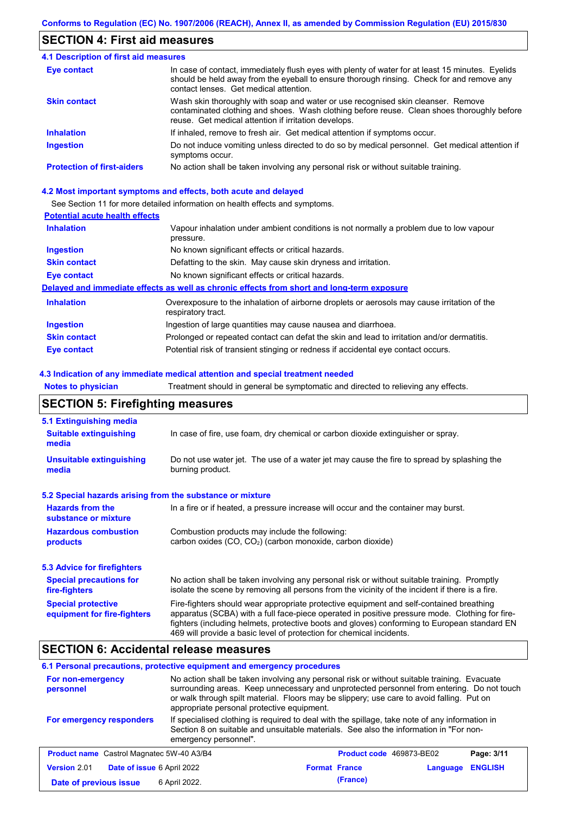## **SECTION 4: First aid measures**

| <b>4.1 Description of first aid measures</b> |                                                                                                                                                                                                                                         |
|----------------------------------------------|-----------------------------------------------------------------------------------------------------------------------------------------------------------------------------------------------------------------------------------------|
| Eye contact                                  | In case of contact, immediately flush eyes with plenty of water for at least 15 minutes. Eyelids<br>should be held away from the eyeball to ensure thorough rinsing. Check for and remove any<br>contact lenses. Get medical attention. |
| <b>Skin contact</b>                          | Wash skin thoroughly with soap and water or use recognised skin cleanser. Remove<br>contaminated clothing and shoes. Wash clothing before reuse. Clean shoes thoroughly before<br>reuse. Get medical attention if irritation develops.  |
| <b>Inhalation</b>                            | If inhaled, remove to fresh air. Get medical attention if symptoms occur.                                                                                                                                                               |
| <b>Ingestion</b>                             | Do not induce vomiting unless directed to do so by medical personnel. Get medical attention if<br>symptoms occur.                                                                                                                       |
| <b>Protection of first-aiders</b>            | No action shall be taken involving any personal risk or without suitable training.                                                                                                                                                      |

#### **4.2 Most important symptoms and effects, both acute and delayed**

See Section 11 for more detailed information on health effects and symptoms.

### **Potential acute health effects**

| <b>Inhalation</b>   | Vapour inhalation under ambient conditions is not normally a problem due to low vapour<br>pressure.               |
|---------------------|-------------------------------------------------------------------------------------------------------------------|
| <b>Ingestion</b>    | No known significant effects or critical hazards.                                                                 |
| <b>Skin contact</b> | Defatting to the skin. May cause skin dryness and irritation.                                                     |
| Eye contact         | No known significant effects or critical hazards.                                                                 |
|                     | Delayed and immediate effects as well as chronic effects from short and long-term exposure                        |
| <b>Inhalation</b>   | Overexposure to the inhalation of airborne droplets or aerosols may cause irritation of the<br>respiratory tract. |
| <b>Ingestion</b>    | Ingestion of large quantities may cause nausea and diarrhoea.                                                     |
| <b>Skin contact</b> | Prolonged or repeated contact can defat the skin and lead to irritation and/or dermatitis.                        |
| Eye contact         | Potential risk of transient stinging or redness if accidental eye contact occurs.                                 |

#### **4.3 Indication of any immediate medical attention and special treatment needed**

**Notes to physician** Treatment should in general be symptomatic and directed to relieving any effects.

# **SECTION 5: Firefighting measures**

| 5.1 Extinguishing media                                                                                                                                                                                                                                                                                                                                                                                                       |                                                                                                                                                                                                |  |  |
|-------------------------------------------------------------------------------------------------------------------------------------------------------------------------------------------------------------------------------------------------------------------------------------------------------------------------------------------------------------------------------------------------------------------------------|------------------------------------------------------------------------------------------------------------------------------------------------------------------------------------------------|--|--|
| <b>Suitable extinguishing</b><br>media                                                                                                                                                                                                                                                                                                                                                                                        | In case of fire, use foam, dry chemical or carbon dioxide extinguisher or spray.                                                                                                               |  |  |
| <b>Unsuitable extinguishing</b><br>media                                                                                                                                                                                                                                                                                                                                                                                      | Do not use water jet. The use of a water jet may cause the fire to spread by splashing the<br>burning product.                                                                                 |  |  |
| 5.2 Special hazards arising from the substance or mixture                                                                                                                                                                                                                                                                                                                                                                     |                                                                                                                                                                                                |  |  |
| <b>Hazards from the</b><br>In a fire or if heated, a pressure increase will occur and the container may burst.<br>substance or mixture                                                                                                                                                                                                                                                                                        |                                                                                                                                                                                                |  |  |
| <b>Hazardous combustion</b><br>Combustion products may include the following:<br>carbon oxides (CO, CO <sub>2</sub> ) (carbon monoxide, carbon dioxide)<br>products                                                                                                                                                                                                                                                           |                                                                                                                                                                                                |  |  |
| 5.3 Advice for firefighters                                                                                                                                                                                                                                                                                                                                                                                                   |                                                                                                                                                                                                |  |  |
| <b>Special precautions for</b><br>fire-fighters                                                                                                                                                                                                                                                                                                                                                                               | No action shall be taken involving any personal risk or without suitable training. Promptly<br>isolate the scene by removing all persons from the vicinity of the incident if there is a fire. |  |  |
| <b>Special protective</b><br>Fire-fighters should wear appropriate protective equipment and self-contained breathing<br>apparatus (SCBA) with a full face-piece operated in positive pressure mode. Clothing for fire-<br>equipment for fire-fighters<br>fighters (including helmets, protective boots and gloves) conforming to European standard EN<br>469 will provide a basic level of protection for chemical incidents. |                                                                                                                                                                                                |  |  |

## **SECTION 6: Accidental release measures**

### **6.1 Personal precautions, protective equipment and emergency procedures**

| No action shall be taken involving any personal risk or without suitable training. Evacuate<br>For non-emergency<br>surrounding areas. Keep unnecessary and unprotected personnel from entering. Do not touch<br>personnel<br>or walk through spilt material. Floors may be slippery; use care to avoid falling. Put on<br>appropriate personal protective equipment. |                                                                                                                                                                                                                  |                                 |          |                |
|-----------------------------------------------------------------------------------------------------------------------------------------------------------------------------------------------------------------------------------------------------------------------------------------------------------------------------------------------------------------------|------------------------------------------------------------------------------------------------------------------------------------------------------------------------------------------------------------------|---------------------------------|----------|----------------|
| For emergency responders                                                                                                                                                                                                                                                                                                                                              | If specialised clothing is required to deal with the spillage, take note of any information in<br>Section 8 on suitable and unsuitable materials. See also the information in "For non-<br>emergency personnel". |                                 |          |                |
| <b>Product name</b> Castrol Magnatec 5W-40 A3/B4                                                                                                                                                                                                                                                                                                                      |                                                                                                                                                                                                                  | <b>Product code</b> 469873-BE02 |          | Page: 3/11     |
| Date of issue 6 April 2022<br>Version 2.01                                                                                                                                                                                                                                                                                                                            |                                                                                                                                                                                                                  | <b>Format France</b>            | Language | <b>ENGLISH</b> |
| Date of previous issue                                                                                                                                                                                                                                                                                                                                                | 6 April 2022.                                                                                                                                                                                                    | (France)                        |          |                |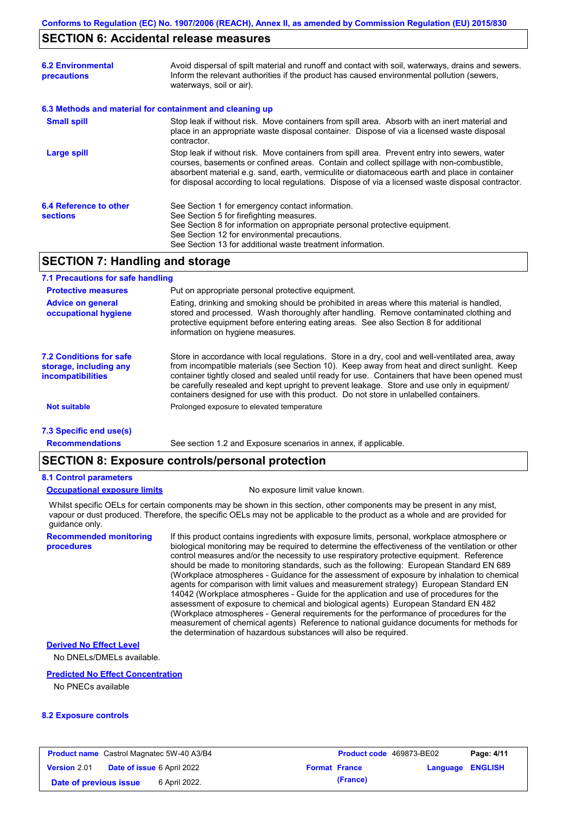### **SECTION 6: Accidental release measures**

| <b>6.2 Environmental</b><br>precautions   | Avoid dispersal of spilt material and runoff and contact with soil, waterways, drains and sewers.<br>Inform the relevant authorities if the product has caused environmental pollution (sewers,<br>waterways, soil or air).                                                                                                                                                                    |  |
|-------------------------------------------|------------------------------------------------------------------------------------------------------------------------------------------------------------------------------------------------------------------------------------------------------------------------------------------------------------------------------------------------------------------------------------------------|--|
|                                           | 6.3 Methods and material for containment and cleaning up                                                                                                                                                                                                                                                                                                                                       |  |
| <b>Small spill</b>                        | Stop leak if without risk. Move containers from spill area. Absorb with an inert material and<br>place in an appropriate waste disposal container. Dispose of via a licensed waste disposal<br>contractor.                                                                                                                                                                                     |  |
| <b>Large spill</b>                        | Stop leak if without risk. Move containers from spill area. Prevent entry into sewers, water<br>courses, basements or confined areas. Contain and collect spillage with non-combustible,<br>absorbent material e.g. sand, earth, vermiculite or diatomaceous earth and place in container<br>for disposal according to local regulations. Dispose of via a licensed waste disposal contractor. |  |
| 6.4 Reference to other<br><b>sections</b> | See Section 1 for emergency contact information.<br>See Section 5 for firefighting measures.<br>See Section 8 for information on appropriate personal protective equipment.<br>See Section 12 for environmental precautions.<br>See Section 13 for additional waste treatment information.                                                                                                     |  |

## **SECTION 7: Handling and storage**

#### **7.1 Precautions for safe handling**

| <b>Protective measures</b>                                                    | Put on appropriate personal protective equipment.                                                                                                                                                                                                                                                                                                                                                                                                                                        |
|-------------------------------------------------------------------------------|------------------------------------------------------------------------------------------------------------------------------------------------------------------------------------------------------------------------------------------------------------------------------------------------------------------------------------------------------------------------------------------------------------------------------------------------------------------------------------------|
| <b>Advice on general</b><br>occupational hygiene                              | Eating, drinking and smoking should be prohibited in areas where this material is handled,<br>stored and processed. Wash thoroughly after handling. Remove contaminated clothing and<br>protective equipment before entering eating areas. See also Section 8 for additional<br>information on hygiene measures.                                                                                                                                                                         |
| 7.2 Conditions for safe<br>storage, including any<br><i>incompatibilities</i> | Store in accordance with local requlations. Store in a dry, cool and well-ventilated area, away<br>from incompatible materials (see Section 10). Keep away from heat and direct sunlight. Keep<br>container tightly closed and sealed until ready for use. Containers that have been opened must<br>be carefully resealed and kept upright to prevent leakage. Store and use only in equipment/<br>containers designed for use with this product. Do not store in unlabelled containers. |
| <b>Not suitable</b>                                                           | Prolonged exposure to elevated temperature                                                                                                                                                                                                                                                                                                                                                                                                                                               |
| 7.3 Specific end use(s)                                                       |                                                                                                                                                                                                                                                                                                                                                                                                                                                                                          |

**Recommendations**

**procedures**

## See section 1.2 and Exposure scenarios in annex, if applicable. **SECTION 8: Exposure controls/personal protection**

### **8.1 Control parameters**

#### **Occupational exposure limits** No exposure limit value known.

Whilst specific OELs for certain components may be shown in this section, other components may be present in any mist, vapour or dust produced. Therefore, the specific OELs may not be applicable to the product as a whole and are provided for guidance only.

**Recommended monitoring**  If this product contains ingredients with exposure limits, personal, workplace atmosphere or biological monitoring may be required to determine the effectiveness of the ventilation or other control measures and/or the necessity to use respiratory protective equipment. Reference should be made to monitoring standards, such as the following: European Standard EN 689 (Workplace atmospheres - Guidance for the assessment of exposure by inhalation to chemical agents for comparison with limit values and measurement strategy) European Standard EN 14042 (Workplace atmospheres - Guide for the application and use of procedures for the assessment of exposure to chemical and biological agents) European Standard EN 482 (Workplace atmospheres - General requirements for the performance of procedures for the measurement of chemical agents) Reference to national guidance documents for methods for the determination of hazardous substances will also be required.

## **Derived No Effect Level**

No DNELs/DMELs available.

#### **Predicted No Effect Concentration**

No PNECs available

#### **8.2 Exposure controls**

| <b>Product name</b> Castrol Magnatec 5W-40 A3/B4 |  |                                   | <b>Product code</b> 469873-BE02 | Page: 4/11           |                         |  |
|--------------------------------------------------|--|-----------------------------------|---------------------------------|----------------------|-------------------------|--|
| <b>Version 2.01</b>                              |  | <b>Date of issue 6 April 2022</b> |                                 | <b>Format France</b> | <b>Language ENGLISH</b> |  |
| Date of previous issue                           |  | 6 April 2022.                     |                                 | (France)             |                         |  |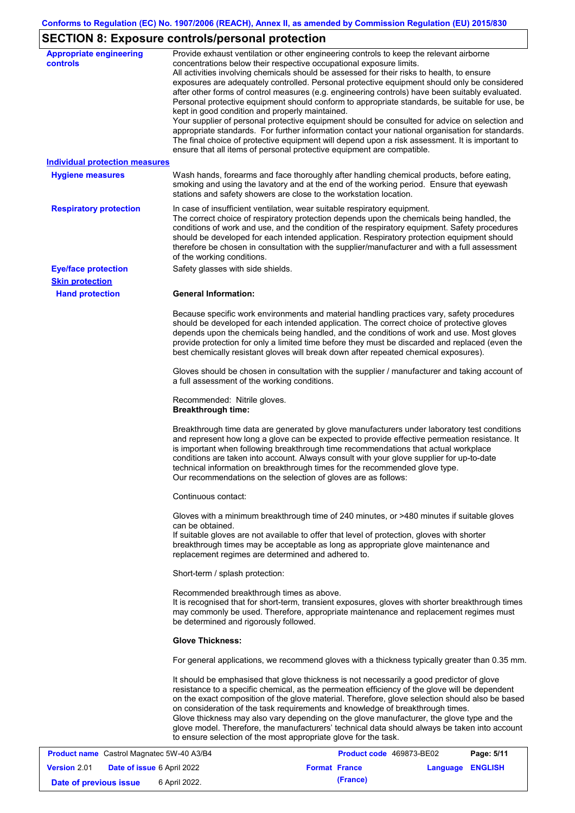# **SECTION 8: Exposure controls/personal protection**

| <b>Appropriate engineering</b><br><b>controls</b> | Provide exhaust ventilation or other engineering controls to keep the relevant airborne<br>concentrations below their respective occupational exposure limits.<br>All activities involving chemicals should be assessed for their risks to health, to ensure<br>exposures are adequately controlled. Personal protective equipment should only be considered<br>after other forms of control measures (e.g. engineering controls) have been suitably evaluated.<br>Personal protective equipment should conform to appropriate standards, be suitable for use, be<br>kept in good condition and properly maintained.<br>Your supplier of personal protective equipment should be consulted for advice on selection and<br>appropriate standards. For further information contact your national organisation for standards.<br>The final choice of protective equipment will depend upon a risk assessment. It is important to<br>ensure that all items of personal protective equipment are compatible. |
|---------------------------------------------------|---------------------------------------------------------------------------------------------------------------------------------------------------------------------------------------------------------------------------------------------------------------------------------------------------------------------------------------------------------------------------------------------------------------------------------------------------------------------------------------------------------------------------------------------------------------------------------------------------------------------------------------------------------------------------------------------------------------------------------------------------------------------------------------------------------------------------------------------------------------------------------------------------------------------------------------------------------------------------------------------------------|
| <b>Individual protection measures</b>             |                                                                                                                                                                                                                                                                                                                                                                                                                                                                                                                                                                                                                                                                                                                                                                                                                                                                                                                                                                                                         |
| <b>Hygiene measures</b>                           | Wash hands, forearms and face thoroughly after handling chemical products, before eating,<br>smoking and using the lavatory and at the end of the working period. Ensure that eyewash<br>stations and safety showers are close to the workstation location.                                                                                                                                                                                                                                                                                                                                                                                                                                                                                                                                                                                                                                                                                                                                             |
| <b>Respiratory protection</b>                     | In case of insufficient ventilation, wear suitable respiratory equipment.<br>The correct choice of respiratory protection depends upon the chemicals being handled, the<br>conditions of work and use, and the condition of the respiratory equipment. Safety procedures<br>should be developed for each intended application. Respiratory protection equipment should<br>therefore be chosen in consultation with the supplier/manufacturer and with a full assessment<br>of the working conditions.                                                                                                                                                                                                                                                                                                                                                                                                                                                                                                   |
| <b>Eye/face protection</b>                        | Safety glasses with side shields.                                                                                                                                                                                                                                                                                                                                                                                                                                                                                                                                                                                                                                                                                                                                                                                                                                                                                                                                                                       |
| <b>Skin protection</b>                            |                                                                                                                                                                                                                                                                                                                                                                                                                                                                                                                                                                                                                                                                                                                                                                                                                                                                                                                                                                                                         |
| <b>Hand protection</b>                            | <b>General Information:</b>                                                                                                                                                                                                                                                                                                                                                                                                                                                                                                                                                                                                                                                                                                                                                                                                                                                                                                                                                                             |
|                                                   | Because specific work environments and material handling practices vary, safety procedures<br>should be developed for each intended application. The correct choice of protective gloves<br>depends upon the chemicals being handled, and the conditions of work and use. Most gloves<br>provide protection for only a limited time before they must be discarded and replaced (even the<br>best chemically resistant gloves will break down after repeated chemical exposures).                                                                                                                                                                                                                                                                                                                                                                                                                                                                                                                        |
|                                                   | Gloves should be chosen in consultation with the supplier / manufacturer and taking account of<br>a full assessment of the working conditions.                                                                                                                                                                                                                                                                                                                                                                                                                                                                                                                                                                                                                                                                                                                                                                                                                                                          |
|                                                   | Recommended: Nitrile gloves.<br><b>Breakthrough time:</b>                                                                                                                                                                                                                                                                                                                                                                                                                                                                                                                                                                                                                                                                                                                                                                                                                                                                                                                                               |
|                                                   | Breakthrough time data are generated by glove manufacturers under laboratory test conditions<br>and represent how long a glove can be expected to provide effective permeation resistance. It<br>is important when following breakthrough time recommendations that actual workplace<br>conditions are taken into account. Always consult with your glove supplier for up-to-date<br>technical information on breakthrough times for the recommended glove type.<br>Our recommendations on the selection of gloves are as follows:                                                                                                                                                                                                                                                                                                                                                                                                                                                                      |
|                                                   | Continuous contact:                                                                                                                                                                                                                                                                                                                                                                                                                                                                                                                                                                                                                                                                                                                                                                                                                                                                                                                                                                                     |
|                                                   | Gloves with a minimum breakthrough time of 240 minutes, or >480 minutes if suitable gloves<br>can be obtained.<br>If suitable gloves are not available to offer that level of protection, gloves with shorter<br>breakthrough times may be acceptable as long as appropriate glove maintenance and<br>replacement regimes are determined and adhered to.                                                                                                                                                                                                                                                                                                                                                                                                                                                                                                                                                                                                                                                |
|                                                   | Short-term / splash protection:                                                                                                                                                                                                                                                                                                                                                                                                                                                                                                                                                                                                                                                                                                                                                                                                                                                                                                                                                                         |
|                                                   | Recommended breakthrough times as above.<br>It is recognised that for short-term, transient exposures, gloves with shorter breakthrough times<br>may commonly be used. Therefore, appropriate maintenance and replacement regimes must<br>be determined and rigorously followed.                                                                                                                                                                                                                                                                                                                                                                                                                                                                                                                                                                                                                                                                                                                        |
|                                                   | <b>Glove Thickness:</b>                                                                                                                                                                                                                                                                                                                                                                                                                                                                                                                                                                                                                                                                                                                                                                                                                                                                                                                                                                                 |
|                                                   | For general applications, we recommend gloves with a thickness typically greater than 0.35 mm.                                                                                                                                                                                                                                                                                                                                                                                                                                                                                                                                                                                                                                                                                                                                                                                                                                                                                                          |
|                                                   | It should be emphasised that glove thickness is not necessarily a good predictor of glove<br>resistance to a specific chemical, as the permeation efficiency of the glove will be dependent<br>on the exact composition of the glove material. Therefore, glove selection should also be based<br>on consideration of the task requirements and knowledge of breakthrough times.<br>Glove thickness may also vary depending on the glove manufacturer, the glove type and the<br>glove model. Therefore, the manufacturers' technical data should always be taken into account<br>to ensure selection of the most appropriate glove for the task.<br>00072.050                                                                                                                                                                                                                                                                                                                                          |

| <b>Product name</b> Castrol Magnatec 5W-40 A3/B4 |                                   |                      | <b>Product code</b> 469873-BE02<br>Page: 5/11 |                         |  |
|--------------------------------------------------|-----------------------------------|----------------------|-----------------------------------------------|-------------------------|--|
| <b>Version 2.01</b>                              | <b>Date of issue 6 April 2022</b> | <b>Format France</b> |                                               | <b>Language ENGLISH</b> |  |
| Date of previous issue                           | 6 April 2022.                     |                      | (France)                                      |                         |  |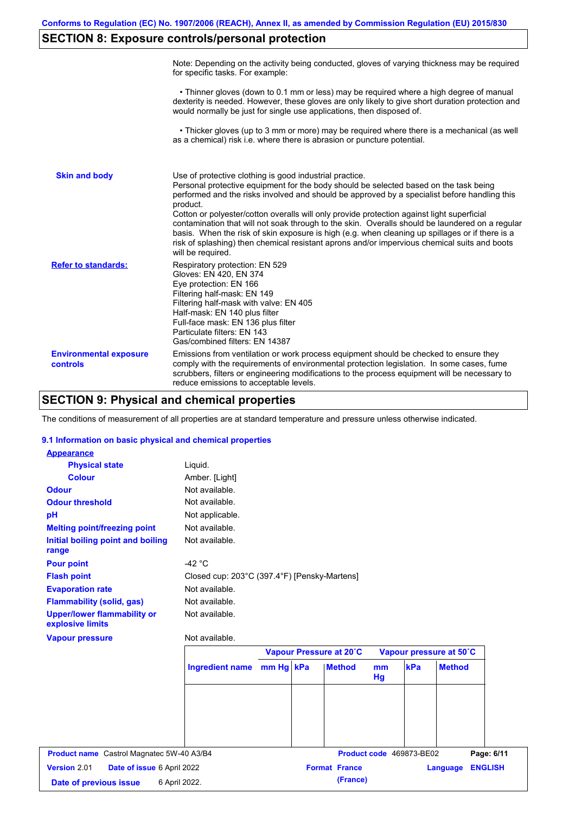# **SECTION 8: Exposure controls/personal protection**

|                                           | Note: Depending on the activity being conducted, gloves of varying thickness may be required<br>for specific tasks. For example:                                                                                                                                                                                                                                                                                                                                                                                                                                                                                                                                                      |
|-------------------------------------------|---------------------------------------------------------------------------------------------------------------------------------------------------------------------------------------------------------------------------------------------------------------------------------------------------------------------------------------------------------------------------------------------------------------------------------------------------------------------------------------------------------------------------------------------------------------------------------------------------------------------------------------------------------------------------------------|
|                                           | • Thinner gloves (down to 0.1 mm or less) may be required where a high degree of manual<br>dexterity is needed. However, these gloves are only likely to give short duration protection and<br>would normally be just for single use applications, then disposed of.                                                                                                                                                                                                                                                                                                                                                                                                                  |
|                                           | • Thicker gloves (up to 3 mm or more) may be required where there is a mechanical (as well<br>as a chemical) risk i.e. where there is abrasion or puncture potential.                                                                                                                                                                                                                                                                                                                                                                                                                                                                                                                 |
| <b>Skin and body</b>                      | Use of protective clothing is good industrial practice.<br>Personal protective equipment for the body should be selected based on the task being<br>performed and the risks involved and should be approved by a specialist before handling this<br>product.<br>Cotton or polyester/cotton overalls will only provide protection against light superficial<br>contamination that will not soak through to the skin. Overalls should be laundered on a regular<br>basis. When the risk of skin exposure is high (e.g. when cleaning up spillages or if there is a<br>risk of splashing) then chemical resistant aprons and/or impervious chemical suits and boots<br>will be required. |
| <b>Refer to standards:</b>                | Respiratory protection: EN 529<br>Gloves: EN 420, EN 374<br>Eye protection: EN 166<br>Filtering half-mask: EN 149<br>Filtering half-mask with valve: EN 405<br>Half-mask: EN 140 plus filter<br>Full-face mask: EN 136 plus filter<br>Particulate filters: EN 143<br>Gas/combined filters: EN 14387                                                                                                                                                                                                                                                                                                                                                                                   |
| <b>Environmental exposure</b><br>controls | Emissions from ventilation or work process equipment should be checked to ensure they<br>comply with the requirements of environmental protection legislation. In some cases, fume<br>scrubbers, filters or engineering modifications to the process equipment will be necessary to<br>reduce emissions to acceptable levels.                                                                                                                                                                                                                                                                                                                                                         |

# **SECTION 9: Physical and chemical properties**

The conditions of measurement of all properties are at standard temperature and pressure unless otherwise indicated.

### **9.1 Information on basic physical and chemical properties**

| <b>Appearance</b>                                      |                                              |           |                         |                         |                          |               |                |
|--------------------------------------------------------|----------------------------------------------|-----------|-------------------------|-------------------------|--------------------------|---------------|----------------|
| <b>Physical state</b>                                  | Liquid.                                      |           |                         |                         |                          |               |                |
| <b>Colour</b>                                          | Amber. [Light]                               |           |                         |                         |                          |               |                |
| <b>Odour</b>                                           | Not available.                               |           |                         |                         |                          |               |                |
| <b>Odour threshold</b>                                 | Not available.                               |           |                         |                         |                          |               |                |
| pH                                                     | Not applicable.                              |           |                         |                         |                          |               |                |
| <b>Melting point/freezing point</b>                    | Not available.                               |           |                         |                         |                          |               |                |
| Initial boiling point and boiling<br>range             | Not available.                               |           |                         |                         |                          |               |                |
| <b>Pour point</b>                                      | -42 $\degree$ C                              |           |                         |                         |                          |               |                |
| <b>Flash point</b>                                     | Closed cup: 203°C (397.4°F) [Pensky-Martens] |           |                         |                         |                          |               |                |
| <b>Evaporation rate</b>                                | Not available.                               |           |                         |                         |                          |               |                |
| <b>Flammability (solid, gas)</b>                       | Not available.                               |           |                         |                         |                          |               |                |
| <b>Upper/lower flammability or</b><br>explosive limits | Not available.                               |           |                         |                         |                          |               |                |
| <b>Vapour pressure</b>                                 | Not available.                               |           |                         |                         |                          |               |                |
|                                                        |                                              |           | Vapour Pressure at 20°C | Vapour pressure at 50°C |                          |               |                |
|                                                        | <b>Ingredient name</b>                       | mm Hg kPa | <b>Method</b>           | mm<br>Hg                | kPa                      | <b>Method</b> |                |
|                                                        |                                              |           |                         |                         |                          |               |                |
| <b>Product name</b> Castrol Magnatec 5W-40 A3/B4       |                                              |           |                         |                         | Product code 469873-BE02 |               | Page: 6/11     |
| Version 2.01<br>Date of issue 6 April 2022             |                                              |           | <b>Format France</b>    |                         |                          | Language      | <b>ENGLISH</b> |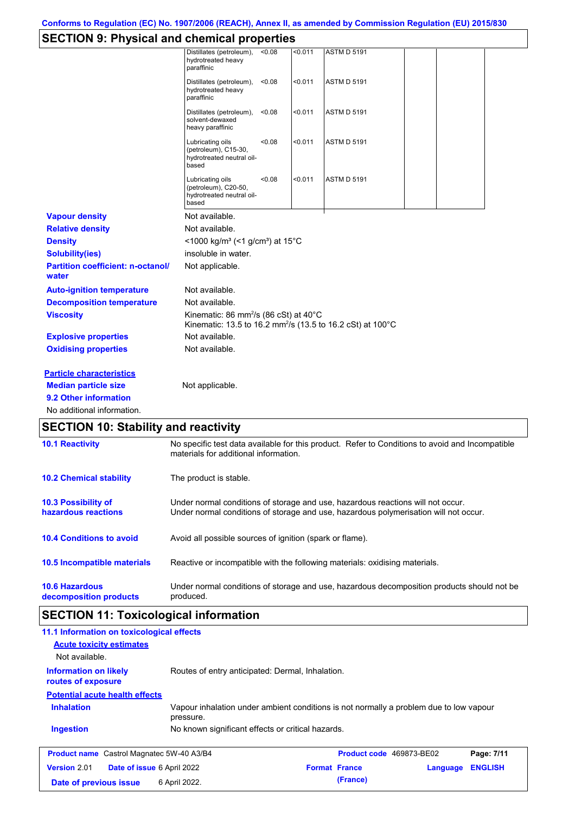# **SECTION 9: Physical and chemical properties**

|                                                   | Distillates (petroleum),<br>hydrotreated heavy<br>paraffinic                                                                             | < 0.08 | < 0.011 | <b>ASTM D 5191</b> |  |  |
|---------------------------------------------------|------------------------------------------------------------------------------------------------------------------------------------------|--------|---------|--------------------|--|--|
|                                                   | Distillates (petroleum),<br>hydrotreated heavy<br>paraffinic                                                                             | < 0.08 | < 0.011 | <b>ASTM D 5191</b> |  |  |
|                                                   | Distillates (petroleum),<br>solvent-dewaxed<br>heavy paraffinic                                                                          | < 0.08 | < 0.011 | <b>ASTM D 5191</b> |  |  |
|                                                   | Lubricating oils<br>(petroleum), C15-30,<br>hydrotreated neutral oil-<br>based                                                           | < 0.08 | < 0.011 | <b>ASTM D 5191</b> |  |  |
|                                                   | Lubricating oils<br>(petroleum), C20-50,<br>hydrotreated neutral oil-<br>based                                                           | < 0.08 | < 0.011 | <b>ASTM D 5191</b> |  |  |
| <b>Vapour density</b>                             | Not available.                                                                                                                           |        |         |                    |  |  |
| <b>Relative density</b>                           | Not available.                                                                                                                           |        |         |                    |  |  |
| <b>Density</b>                                    | <1000 kg/m <sup>3</sup> (<1 g/cm <sup>3</sup> ) at 15°C                                                                                  |        |         |                    |  |  |
| <b>Solubility(ies)</b>                            | insoluble in water.                                                                                                                      |        |         |                    |  |  |
| <b>Partition coefficient: n-octanol/</b><br>water | Not applicable.                                                                                                                          |        |         |                    |  |  |
| <b>Auto-ignition temperature</b>                  | Not available.                                                                                                                           |        |         |                    |  |  |
| <b>Decomposition temperature</b>                  | Not available.                                                                                                                           |        |         |                    |  |  |
| <b>Viscosity</b>                                  | Kinematic: 86 mm <sup>2</sup> /s (86 cSt) at 40°C<br>Kinematic: 13.5 to 16.2 mm <sup>2</sup> /s (13.5 to 16.2 cSt) at 100°C              |        |         |                    |  |  |
| <b>Explosive properties</b>                       | Not available.                                                                                                                           |        |         |                    |  |  |
| <b>Oxidising properties</b>                       | Not available.                                                                                                                           |        |         |                    |  |  |
| <b>Particle characteristics</b>                   |                                                                                                                                          |        |         |                    |  |  |
| <b>Median particle size</b>                       | Not applicable.                                                                                                                          |        |         |                    |  |  |
| 9.2 Other information                             |                                                                                                                                          |        |         |                    |  |  |
| No additional information.                        |                                                                                                                                          |        |         |                    |  |  |
| <b>SECTION 10: Stability and reactivity</b>       |                                                                                                                                          |        |         |                    |  |  |
| <b>10.1 Reactivity</b>                            | No specific test data available for this product. Refer to Conditions to avoid and Incompatible<br>materials for additional information. |        |         |                    |  |  |
| <b>10.2 Chemical stability</b>                    | The product is stable.                                                                                                                   |        |         |                    |  |  |

| 10.3 Possibility of             | Under normal conditions of storage and use, hazardous reactions will not occur.            |
|---------------------------------|--------------------------------------------------------------------------------------------|
| hazardous reactions             | Under normal conditions of storage and use, hazardous polymerisation will not occur.       |
| <b>10.4 Conditions to avoid</b> | Avoid all possible sources of ignition (spark or flame).                                   |
| 10.5 Incompatible materials     | Reactive or incompatible with the following materials: oxidising materials.                |
| <b>10.6 Hazardous</b>           | Under normal conditions of storage and use, hazardous decomposition products should not be |
| decomposition products          | produced.                                                                                  |

## **SECTION 11: Toxicological information**

| <b>ULUTION TI. TUAICUIUGICAI IIIIUI IIIAUUII</b>   |                                                                                                     |                          |          |                |
|----------------------------------------------------|-----------------------------------------------------------------------------------------------------|--------------------------|----------|----------------|
| 11.1 Information on toxicological effects          |                                                                                                     |                          |          |                |
| <b>Acute toxicity estimates</b>                    |                                                                                                     |                          |          |                |
| Not available.                                     |                                                                                                     |                          |          |                |
| <b>Information on likely</b><br>routes of exposure | Routes of entry anticipated: Dermal, Inhalation.                                                    |                          |          |                |
| <b>Potential acute health effects</b>              |                                                                                                     |                          |          |                |
| <b>Inhalation</b>                                  | Vapour inhalation under ambient conditions is not normally a problem due to low vapour<br>pressure. |                          |          |                |
| <b>Ingestion</b>                                   | No known significant effects or critical hazards.                                                   |                          |          |                |
| <b>Product name</b> Castrol Magnatec 5W-40 A3/B4   |                                                                                                     | Product code 469873-BE02 |          | Page: 7/11     |
| <b>Version 2.01</b><br>Date of issue 6 April 2022  |                                                                                                     | <b>Format France</b>     | Language | <b>ENGLISH</b> |
| Date of previous issue                             | 6 April 2022.                                                                                       | (France)                 |          |                |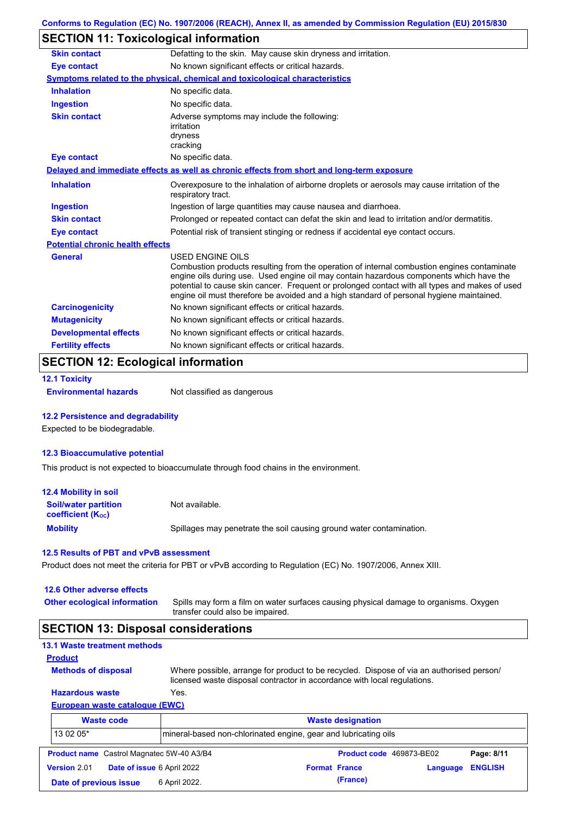# **SECTION 11: Toxicological information**

| <b>Skin contact</b>                     | Defatting to the skin. May cause skin dryness and irritation.                                                                                                                                                                                                                                                                                                                                                   |
|-----------------------------------------|-----------------------------------------------------------------------------------------------------------------------------------------------------------------------------------------------------------------------------------------------------------------------------------------------------------------------------------------------------------------------------------------------------------------|
| <b>Eye contact</b>                      | No known significant effects or critical hazards.                                                                                                                                                                                                                                                                                                                                                               |
|                                         | Symptoms related to the physical, chemical and toxicological characteristics                                                                                                                                                                                                                                                                                                                                    |
| <b>Inhalation</b>                       | No specific data.                                                                                                                                                                                                                                                                                                                                                                                               |
| <b>Ingestion</b>                        | No specific data.                                                                                                                                                                                                                                                                                                                                                                                               |
| <b>Skin contact</b>                     | Adverse symptoms may include the following:<br>irritation<br>dryness<br>cracking                                                                                                                                                                                                                                                                                                                                |
| <b>Eye contact</b>                      | No specific data.                                                                                                                                                                                                                                                                                                                                                                                               |
|                                         | Delayed and immediate effects as well as chronic effects from short and long-term exposure                                                                                                                                                                                                                                                                                                                      |
| <b>Inhalation</b>                       | Overexposure to the inhalation of airborne droplets or aerosols may cause irritation of the<br>respiratory tract.                                                                                                                                                                                                                                                                                               |
| <b>Ingestion</b>                        | Ingestion of large quantities may cause nausea and diarrhoea.                                                                                                                                                                                                                                                                                                                                                   |
| <b>Skin contact</b>                     | Prolonged or repeated contact can defat the skin and lead to irritation and/or dermatitis.                                                                                                                                                                                                                                                                                                                      |
| <b>Eye contact</b>                      | Potential risk of transient stinging or redness if accidental eye contact occurs.                                                                                                                                                                                                                                                                                                                               |
| <b>Potential chronic health effects</b> |                                                                                                                                                                                                                                                                                                                                                                                                                 |
| <b>General</b>                          | <b>USED ENGINE OILS</b><br>Combustion products resulting from the operation of internal combustion engines contaminate<br>engine oils during use. Used engine oil may contain hazardous components which have the<br>potential to cause skin cancer. Frequent or prolonged contact with all types and makes of used<br>engine oil must therefore be avoided and a high standard of personal hygiene maintained. |
| <b>Carcinogenicity</b>                  | No known significant effects or critical hazards.                                                                                                                                                                                                                                                                                                                                                               |
| <b>Mutagenicity</b>                     | No known significant effects or critical hazards.                                                                                                                                                                                                                                                                                                                                                               |
| <b>Developmental effects</b>            | No known significant effects or critical hazards.                                                                                                                                                                                                                                                                                                                                                               |
|                                         |                                                                                                                                                                                                                                                                                                                                                                                                                 |

## **SECTION 12: Ecological information**

```
12.1 Toxicity
```
**Environmental hazards** Not classified as dangerous

#### **12.2 Persistence and degradability**

Expected to be biodegradable.

### **12.3 Bioaccumulative potential**

This product is not expected to bioaccumulate through food chains in the environment.

| <b>12.4 Mobility in soil</b>                            |                                                                      |
|---------------------------------------------------------|----------------------------------------------------------------------|
| <b>Soil/water partition</b><br><b>coefficient (Koc)</b> | Not available.                                                       |
| <b>Mobility</b>                                         | Spillages may penetrate the soil causing ground water contamination. |

#### **12.5 Results of PBT and vPvB assessment**

Product does not meet the criteria for PBT or vPvB according to Regulation (EC) No. 1907/2006, Annex XIII.

| 12.6 Other adverse effects |  |
|----------------------------|--|
|----------------------------|--|

**Methods of disposal**

**Other ecological information**

Spills may form a film on water surfaces causing physical damage to organisms. Oxygen transfer could also be impaired.

## **SECTION 13: Disposal considerations**

| <b>13.1 Waste treatment methods</b> |  |
|-------------------------------------|--|
| <b>Product</b>                      |  |

**Hazardous waste** Yes. Where possible, arrange for product to be recycled. Dispose of via an authorised person/ licensed waste disposal contractor in accordance with local regulations.

### **European waste catalogue (EWC)**

|                     | <b>Waste code</b>                                                            | <b>Waste designation</b> |  |                          |          |                |
|---------------------|------------------------------------------------------------------------------|--------------------------|--|--------------------------|----------|----------------|
|                     | 13 02 05*<br>mineral-based non-chlorinated engine, gear and lubricating oils |                          |  |                          |          |                |
|                     | <b>Product name</b> Castrol Magnatec 5W-40 A3/B4                             |                          |  | Product code 469873-BE02 |          | Page: 8/11     |
| <b>Version 2.01</b> | <b>Date of issue 6 April 2022</b>                                            |                          |  | <b>Format France</b>     | Language | <b>ENGLISH</b> |
|                     | Date of previous issue                                                       | 6 April 2022.            |  | (France)                 |          |                |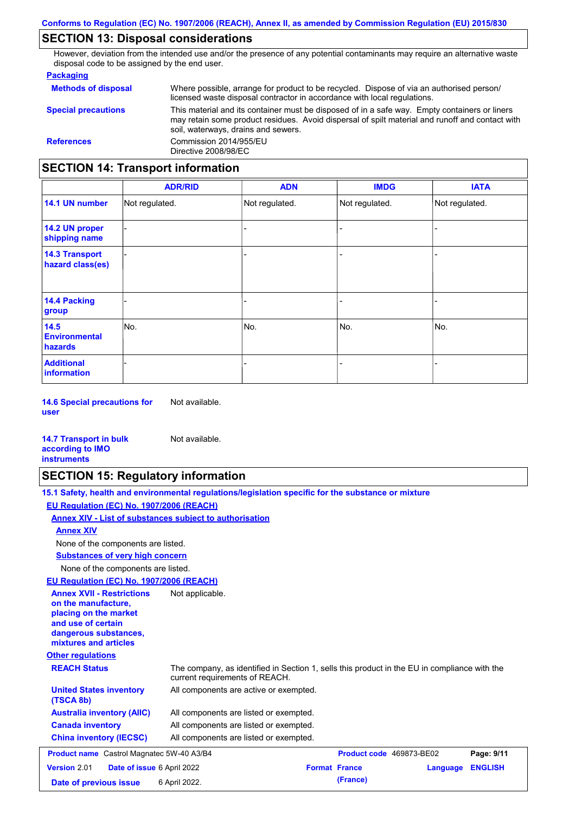# **SECTION 13: Disposal considerations**

However, deviation from the intended use and/or the presence of any potential contaminants may require an alternative waste disposal code to be assigned by the end user.

#### **Packaging**

| <b>Methods of disposal</b>               | Where possible, arrange for product to be recycled. Dispose of via an authorised person/<br>licensed waste disposal contractor in accordance with local regulations.                                                                    |
|------------------------------------------|-----------------------------------------------------------------------------------------------------------------------------------------------------------------------------------------------------------------------------------------|
| <b>Special precautions</b>               | This material and its container must be disposed of in a safe way. Empty containers or liners<br>may retain some product residues. Avoid dispersal of spilt material and runoff and contact with<br>soil, waterways, drains and sewers. |
| <b>References</b>                        | Commission 2014/955/EU<br>Directive 2008/98/EC                                                                                                                                                                                          |
| <b>SECTION 14: Transport information</b> |                                                                                                                                                                                                                                         |

#### - - - - - - - - - Not regulated. Not regulated. Not regulated. - - - **ADR/RID IMDG IATA 14.1 UN number 14.2 UN proper shipping name 14.3 Transport hazard class(es) 14.4 Packing group ADN Additional information 14.5 Environmental hazards** No. 1980 | No. 1980 | No. 1980 | No. 1980 | No. 1980 | No. 1980 | No. 1980 | No. 1980 | No. 1980 | No. 1980 | Not regulated. - No. - -

**14.6 Special precautions for user** Not available.

#### **14.7 Transport in bulk according to IMO instruments**

## **SECTION 15: Regulatory information**

Not available.

| 15.1 Safety, health and environmental requlations/legislation specific for the substance or mixture |  |
|-----------------------------------------------------------------------------------------------------|--|
| EU Regulation (EC) No. 1907/2006 (REACH)                                                            |  |
| Annex XIV - List of substances subject to authorisation                                             |  |
|                                                                                                     |  |

**Annex XIV**

None of the components are listed.

**Substances of very high concern**

None of the components are listed.

**EU Regulation (EC) No. 1907/2006 (REACH)**

| LU RUYURINI (LU) RU. 1901/2000 (RLAON)                                                                                                                   |                                                                                                                                |  |
|----------------------------------------------------------------------------------------------------------------------------------------------------------|--------------------------------------------------------------------------------------------------------------------------------|--|
| <b>Annex XVII - Restrictions</b><br>on the manufacture.<br>placing on the market<br>and use of certain<br>dangerous substances,<br>mixtures and articles | Not applicable.                                                                                                                |  |
| <b>Other regulations</b>                                                                                                                                 |                                                                                                                                |  |
| <b>REACH Status</b>                                                                                                                                      | The company, as identified in Section 1, sells this product in the EU in compliance with the<br>current requirements of REACH. |  |
| <b>United States inventory</b><br>(TSCA 8b)                                                                                                              | All components are active or exempted.                                                                                         |  |
| <b>Australia inventory (AIIC)</b>                                                                                                                        | All components are listed or exempted.                                                                                         |  |
| <b>Canada inventory</b>                                                                                                                                  | All components are listed or exempted.                                                                                         |  |
| <b>China inventory (IECSC)</b>                                                                                                                           | All components are listed or exempted.                                                                                         |  |
| <b>Product name</b> Castrol Magnatec 5W-40 A3/B4                                                                                                         | Product code 469873-BE02<br>Page: 9/11                                                                                         |  |
| <b>Version 2.01</b>                                                                                                                                      | <b>Format France</b><br><b>ENGLISH</b><br>Date of issue 6 April 2022<br>Language                                               |  |
| Date of previous issue                                                                                                                                   | (France)<br>6 April 2022.                                                                                                      |  |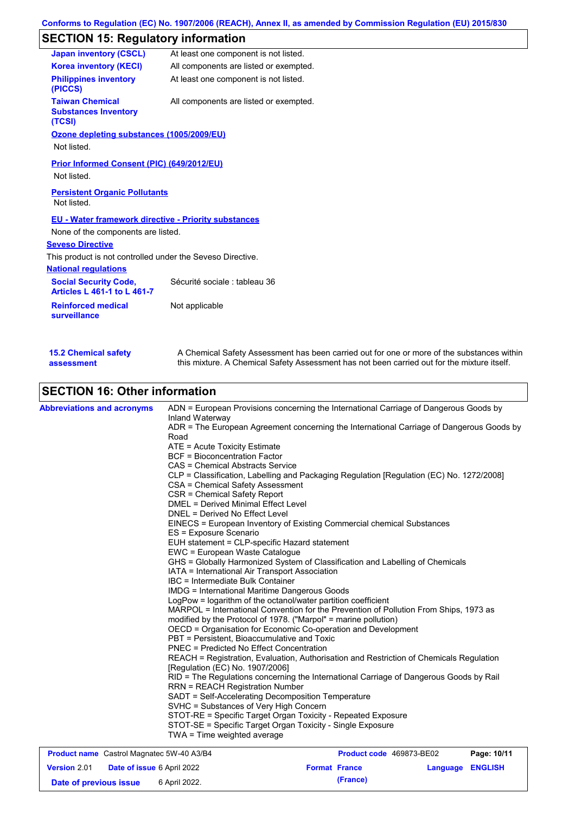# **SECTION 15: Regulatory information**

| <b>Japan inventory (CSCL)</b>                                      | At least one component is not listed.  |
|--------------------------------------------------------------------|----------------------------------------|
| <b>Korea inventory (KECI)</b>                                      | All components are listed or exempted. |
| <b>Philippines inventory</b><br>(PICCS)                            | At least one component is not listed.  |
| <b>Taiwan Chemical</b><br><b>Substances Inventory</b><br>(TCSI)    | All components are listed or exempted. |
| Ozone depleting substances (1005/2009/EU)                          |                                        |
| Not listed.                                                        |                                        |
| Prior Informed Consent (PIC) (649/2012/EU)<br>Not listed.          |                                        |
| <b>Persistent Organic Pollutants</b><br>Not listed.                |                                        |
| <b>EU - Water framework directive - Priority substances</b>        |                                        |
| None of the components are listed.                                 |                                        |
| <b>Seveso Directive</b>                                            |                                        |
| This product is not controlled under the Seveso Directive.         |                                        |
| <b>National regulations</b>                                        |                                        |
| <b>Social Security Code,</b><br><b>Articles L 461-1 to L 461-7</b> | Sécurité sociale : tableau 36          |
| <b>Reinforced medical</b><br><b>surveillance</b>                   | Not applicable                         |
|                                                                    |                                        |
|                                                                    |                                        |

|  | <b>SECTION 16: Other information</b> |  |
|--|--------------------------------------|--|
|  |                                      |  |

**15.2 Chemical safety** 

**assessment**

| <b>Abbreviations and acronyms</b> | ADN = European Provisions concerning the International Carriage of Dangerous Goods by<br>Inland Waterway |
|-----------------------------------|----------------------------------------------------------------------------------------------------------|
|                                   | ADR = The European Agreement concerning the International Carriage of Dangerous Goods by<br>Road         |
|                                   | ATE = Acute Toxicity Estimate                                                                            |
|                                   | <b>BCF</b> = Bioconcentration Factor                                                                     |
|                                   | CAS = Chemical Abstracts Service                                                                         |
|                                   | CLP = Classification, Labelling and Packaging Regulation [Regulation (EC) No. 1272/2008]                 |
|                                   | CSA = Chemical Safety Assessment                                                                         |
|                                   | CSR = Chemical Safety Report                                                                             |
|                                   | <b>DMEL = Derived Minimal Effect Level</b>                                                               |
|                                   | DNEL = Derived No Effect Level                                                                           |
|                                   | EINECS = European Inventory of Existing Commercial chemical Substances                                   |
|                                   | ES = Exposure Scenario                                                                                   |
|                                   | EUH statement = CLP-specific Hazard statement                                                            |
|                                   | EWC = European Waste Catalogue                                                                           |
|                                   | GHS = Globally Harmonized System of Classification and Labelling of Chemicals                            |
|                                   | IATA = International Air Transport Association                                                           |
|                                   | IBC = Intermediate Bulk Container                                                                        |
|                                   | <b>IMDG</b> = International Maritime Dangerous Goods                                                     |
|                                   | LogPow = logarithm of the octanol/water partition coefficient                                            |
|                                   | MARPOL = International Convention for the Prevention of Pollution From Ships, 1973 as                    |
|                                   | modified by the Protocol of 1978. ("Marpol" = marine pollution)                                          |
|                                   | OECD = Organisation for Economic Co-operation and Development                                            |
|                                   | PBT = Persistent, Bioaccumulative and Toxic                                                              |
|                                   | <b>PNEC</b> = Predicted No Effect Concentration                                                          |
|                                   | REACH = Registration, Evaluation, Authorisation and Restriction of Chemicals Regulation                  |
|                                   | [Regulation (EC) No. 1907/2006]                                                                          |
|                                   | RID = The Regulations concerning the International Carriage of Dangerous Goods by Rail                   |
|                                   | <b>RRN = REACH Registration Number</b>                                                                   |
|                                   | SADT = Self-Accelerating Decomposition Temperature                                                       |
|                                   | SVHC = Substances of Very High Concern                                                                   |
|                                   | STOT-RE = Specific Target Organ Toxicity - Repeated Exposure                                             |
|                                   | STOT-SE = Specific Target Organ Toxicity - Single Exposure                                               |
|                                   | TWA = Time weighted average                                                                              |

A Chemical Safety Assessment has been carried out for one or more of the substances within this mixture. A Chemical Safety Assessment has not been carried out for the mixture itself.

| <b>Product name</b> Castrol Magnatec 5W-40 A3/B4 |                                   |               | <b>Product code</b> 469873-BE02 | Page: 10/11 |                         |  |
|--------------------------------------------------|-----------------------------------|---------------|---------------------------------|-------------|-------------------------|--|
| <b>Version 2.01</b>                              | <b>Date of issue 6 April 2022</b> |               | <b>Format France</b>            |             | <b>Language ENGLISH</b> |  |
| Date of previous issue                           |                                   | 6 April 2022. |                                 | (France)    |                         |  |